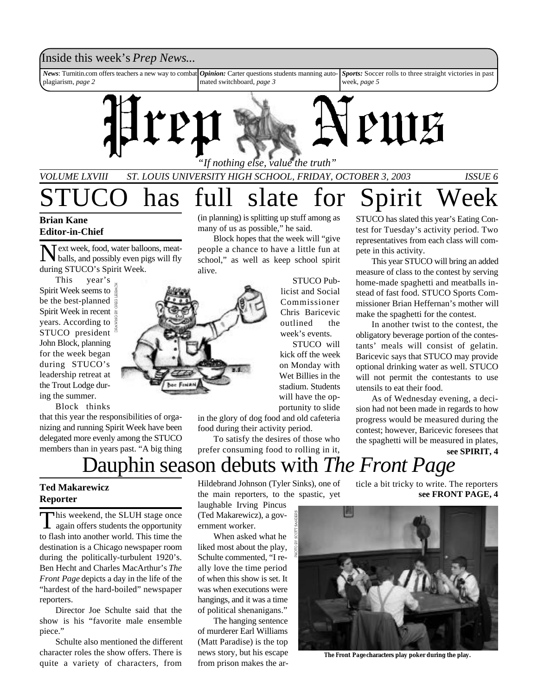## Inside this week's *Prep News*...

*News*: Turnitin.com offers teachers a new way to combat plagiarism, *page 2* **Opinion:** Carter questions students manning automated switchboard, *page 3 Sports:* Soccer rolls to three straight victories in past week, *page 5*



*VOLUME LXVIII ST. LOUIS UNIVERSITY HIGH SCHOOL, FRIDAY, OCTOBER 3, 2003 ISSUE 6*

## has full slate for Spirit Week **Brian Kane Editor-in-Chief**

 $\sum$  ext week, food, water balloons, meat-<br>balls, and possibly even pigs will fly balls, and possibly even pigs will fly during STUCO's Spirit Week.

This year's Spirit Week seems to be the best-planned Spirit Week in recent years. According to STUCO president John Block, planning for the week began during STUCO's leadership retreat at the Trout Lodge during the summer.

Block thinks

that this year the responsibilities of organizing and running Spirit Week have been delegated more evenly among the STUCO members than in years past. "A big thing

(in planning) is splitting up stuff among as many of us as possible," he said.

Block hopes that the week will "give people a chance to have a little fun at school," as well as keep school spirit alive.

> STUCO Publicist and Social Commissioner Chris Baricevic outlined the week's events.

STUCO will kick off the week on Monday with Wet Billies in the stadium. Students will have the opportunity to slide

in the glory of dog food and old cafeteria food during their activity period.

To satisfy the desires of those who prefer consuming food to rolling in it,

STUCO has slated this year's Eating Contest for Tuesday's activity period. Two representatives from each class will compete in this activity.

This year STUCO will bring an added measure of class to the contest by serving home-made spaghetti and meatballs instead of fast food. STUCO Sports Commissioner Brian Heffernan's mother will make the spaghetti for the contest.

In another twist to the contest, the obligatory beverage portion of the contestants' meals will consist of gelatin. Baricevic says that STUCO may provide optional drinking water as well. STUCO will not permit the contestants to use utensils to eat their food.

As of Wednesday evening, a decision had not been made in regards to how progress would be measured during the contest; however, Baricevic foresees that the spaghetti will be measured in plates,

**see SPIRIT, 4**

## Dauphin season debuts with *The Front Page*

### **Ted Makarewicz Reporter**

This weekend, the SLUH stage once<br>again offers students the opportunity This weekend, the SLUH stage once to flash into another world. This time the destination is a Chicago newspaper room during the politically-turbulent 1920's. Ben Hecht and Charles MacArthur's *The Front Page* depicts a day in the life of the "hardest of the hard-boiled" newspaper reporters.

Director Joe Schulte said that the show is his "favorite male ensemble piece."

Schulte also mentioned the different character roles the show offers. There is quite a variety of characters, from

Hildebrand Johnson (Tyler Sinks), one of the main reporters, to the spastic, yet

laughable Irving Pincus (Ted Makarewicz), a government worker.

When asked what he liked most about the play, Schulte commented, "I really love the time period of when this show is set. It was when executions were hangings, and it was a time of political shenanigans."

The hanging sentence of murderer Earl Williams (Matt Paradise) is the top news story, but his escape from prison makes the article a bit tricky to write. The reporters **see FRONT PAGE, 4**



*The Front Page* **characters play poker during the play.**

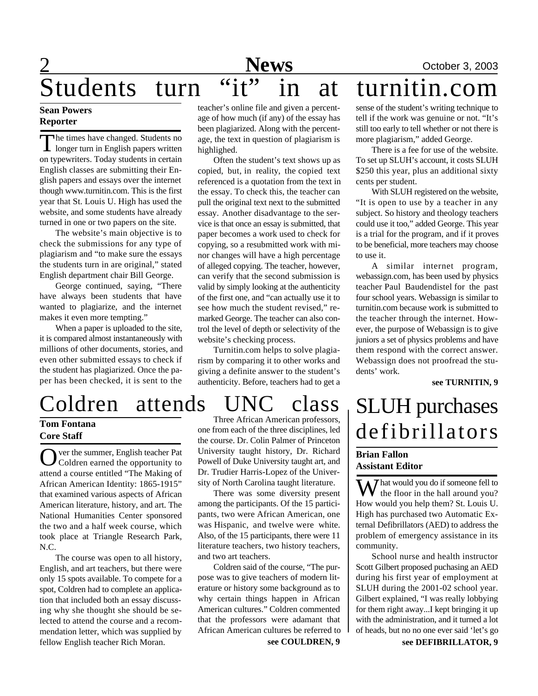# 2 **News** October 3, 2003 Students turn "it" in at turnitin.com

### **Sean Powers Reporter**

The times have changed. Students no<br>longer turn in English papers written<br>on typewriters. Today students in certain he times have changed. Students no longer turn in English papers written English classes are submitting their English papers and essays over the internet though www.turnitin.com. This is the first year that St. Louis U. High has used the website, and some students have already turned in one or two papers on the site.

The website's main objective is to check the submissions for any type of plagiarism and "to make sure the essays the students turn in are original," stated English department chair Bill George.

George continued, saying, "There have always been students that have wanted to plagiarize, and the internet makes it even more tempting."

When a paper is uploaded to the site, it is compared almost instantaneously with millions of other documents, stories, and even other submitted essays to check if the student has plagiarized. Once the paper has been checked, it is sent to the

## Coldren attends UNC class

### **Tom Fontana Core Staff**

O ver the summer, English teacher Pat ver the summer, English teacher Pat attend a course entitled "The Making of African American Identity: 1865-1915" that examined various aspects of African American literature, history, and art. The National Humanities Center sponsored the two and a half week course, which took place at Triangle Research Park, N.C.

The course was open to all history, English, and art teachers, but there were only 15 spots available. To compete for a spot, Coldren had to complete an application that included both an essay discussing why she thought she should be selected to attend the course and a recommendation letter, which was supplied by fellow English teacher Rich Moran.

teacher's online file and given a percentage of how much (if any) of the essay has been plagiarized. Along with the percentage, the text in question of plagiarism is highlighed.

Often the student's text shows up as copied, but, in reality, the copied text referenced is a quotation from the text in the essay. To check this, the teacher can pull the original text next to the submitted essay. Another disadvantage to the service is that once an essay is submitted, that paper becomes a work used to check for copying, so a resubmitted work with minor changes will have a high percentage of alleged copying. The teacher, however, can verify that the second submission is valid by simply looking at the authenticity of the first one, and "can actually use it to see how much the student revised," remarked George. The teacher can also control the level of depth or selectivity of the website's checking process.

Turnitin.com helps to solve plagiarism by comparing it to other works and giving a definite answer to the student's authenticity. Before, teachers had to get a

Three African American professors, one from each of the three disciplines, led the course. Dr. Colin Palmer of Princeton University taught history, Dr. Richard Powell of Duke University taught art, and Dr. Trudier Harris-Lopez of the University of North Carolina taught literature.

There was some diversity present among the participants. Of the 15 participants, two were African American, one was Hispanic, and twelve were white. Also, of the 15 participants, there were 11 literature teachers, two history teachers, and two art teachers.

Coldren said of the course, "The purpose was to give teachers of modern literature or history some background as to why certain things happen in African American cultures." Coldren commented that the professors were adamant that African American cultures be referred to

**see COULDREN, 9**

sense of the student's writing technique to tell if the work was genuine or not. "It's still too early to tell whether or not there is more plagiarism," added George.

There is a fee for use of the website. To set up SLUH's account, it costs SLUH \$250 this year, plus an additional sixty cents per student.

With SLUH registered on the website, "It is open to use by a teacher in any subject. So history and theology teachers could use it too," added George. This year is a trial for the program, and if it proves to be beneficial, more teachers may choose to use it.

A similar internet program, webassign.com, has been used by physics teacher Paul Baudendistel for the past four school years. Webassign is similar to turnitin.com because work is submitted to the teacher through the internet. However, the purpose of Webassign is to give juniors a set of physics problems and have them respond with the correct answer. Webassign does not proofread the students' work.

**see TURNITIN, 9**

## SLUH purchases defibrillators

### **Brian Fallon Assistant Editor**

 $\sum$  hat would you do if someone fell to  $\mathbf{\hat{V}}$  the floor in the hall around you? How would you help them? St. Louis U. High has purchased two Automatic External Defibrillators (AED) to address the problem of emergency assistance in its community.

School nurse and health instructor Scott Gilbert proposed puchasing an AED during his first year of employment at SLUH during the 2001-02 school year. Gilbert explained, "I was really lobbying for them right away...I kept bringing it up with the administration, and it turned a lot of heads, but no no one ever said 'let's go

**see DEFIBRILLATOR, 9**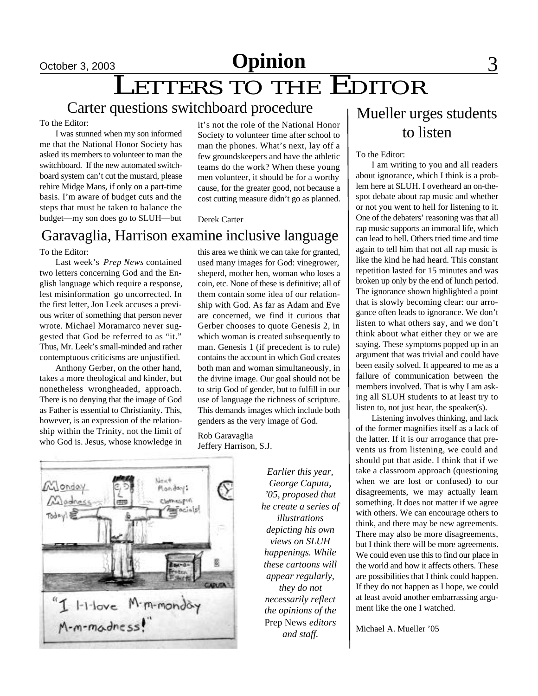# LETTERS TO THE EDITOR

## Carter questions switchboard procedure

### To the Editor:

I was stunned when my son informed me that the National Honor Society has asked its members to volunteer to man the switchboard. If the new automated switchboard system can't cut the mustard, please rehire Midge Mans, if only on a part-time basis. I'm aware of budget cuts and the steps that must be taken to balance the budget—my son does go to SLUH—but

it's not the role of the National Honor Society to volunteer time after school to man the phones. What's next, lay off a few groundskeepers and have the athletic teams do the work? When these young men volunteer, it should be for a worthy cause, for the greater good, not because a cost cutting measure didn't go as planned.

#### Derek Carter

## Garavaglia, Harrison examine inclusive language

To the Editor:

Last week's *Prep News* contained two letters concerning God and the English language which require a response, lest misinformation go uncorrected. In the first letter, Jon Leek accuses a previous writer of something that person never wrote. Michael Moramarco never suggested that God be referred to as "it." Thus, Mr. Leek's small-minded and rather contemptuous criticisms are unjustified.

Anthony Gerber, on the other hand, takes a more theological and kinder, but nonetheless wrongheaded, approach. There is no denying that the image of God as Father is essential to Christianity. This, however, is an expression of the relationship within the Trinity, not the limit of who God is. Jesus, whose knowledge in this area we think we can take for granted, used many images for God: vinegrower, sheperd, mother hen, woman who loses a coin, etc. None of these is definitive; all of them contain some idea of our relationship with God. As far as Adam and Eve are concerned, we find it curious that Gerber chooses to quote Genesis 2, in which woman is created subsequently to man. Genesis 1 (if precedent is to rule) contains the account in which God creates both man and woman simultaneously, in the divine image. Our goal should not be to strip God of gender, but to fulfill in our use of language the richness of scripture. This demands images which include both genders as the very image of God.

Rob Garavaglia Jeffery Harrison, S.J.



*Earlier this year, George Caputa, '05, proposed that he create a series of illustrations depicting his own views on SLUH happenings. While these cartoons will appear regularly, they do not necessarily reflect the opinions of the* Prep News *editors and staff.*

## Mueller urges students to listen

#### To the Editor:

I am writing to you and all readers about ignorance, which I think is a problem here at SLUH. I overheard an on-thespot debate about rap music and whether or not you went to hell for listening to it. One of the debaters' reasoning was that all rap music supports an immoral life, which can lead to hell. Others tried time and time again to tell him that not all rap music is like the kind he had heard. This constant repetition lasted for 15 minutes and was broken up only by the end of lunch period. The ignorance shown highlighted a point that is slowly becoming clear: our arrogance often leads to ignorance. We don't listen to what others say, and we don't think about what either they or we are saying. These symptoms popped up in an argument that was trivial and could have been easily solved. It appeared to me as a failure of communication between the members involved. That is why I am asking all SLUH students to at least try to listen to, not just hear, the speaker(s).

Listening involves thinking, and lack of the former magnifies itself as a lack of the latter. If it is our arrogance that prevents us from listening, we could and should put that aside. I think that if we take a classroom approach (questioning when we are lost or confused) to our disagreements, we may actually learn something. It does not matter if we agree with others. We can encourage others to think, and there may be new agreements. There may also be more disagreements, but I think there will be more agreements. We could even use this to find our place in the world and how it affects others. These are possibilities that I think could happen. If they do not happen as I hope, we could at least avoid another embarrassing argument like the one I watched.

Michael A. Mueller '05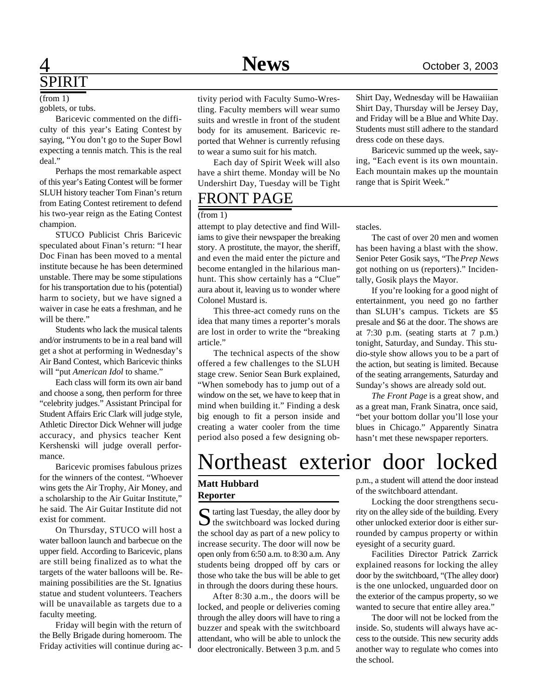goblets, or tubs. (from 1)

Baricevic commented on the difficulty of this year's Eating Contest by saying, "You don't go to the Super Bowl expecting a tennis match. This is the real deal."

Perhaps the most remarkable aspect of this year's Eating Contest will be former SLUH history teacher Tom Finan's return from Eating Contest retirement to defend his two-year reign as the Eating Contest champion.

STUCO Publicist Chris Baricevic speculated about Finan's return: "I hear Doc Finan has been moved to a mental institute because he has been determined unstable. There may be some stipulations for his transportation due to his (potential) harm to society, but we have signed a waiver in case he eats a freshman, and he will be there."

Students who lack the musical talents and/or instruments to be in a real band will get a shot at performing in Wednesday's Air Band Contest, which Baricevic thinks will "put *American Idol* to shame."

Each class will form its own air band and choose a song, then perform for three "celebrity judges." Assistant Principal for Student Affairs Eric Clark will judge style, Athletic Director Dick Wehner will judge accuracy, and physics teacher Kent Kershenski will judge overall performance.

Baricevic promises fabulous prizes for the winners of the contest. "Whoever wins gets the Air Trophy, Air Money, and a scholarship to the Air Guitar Institute," he said. The Air Guitar Institute did not exist for comment.

On Thursday, STUCO will host a water balloon launch and barbecue on the upper field. According to Baricevic, plans are still being finalized as to what the targets of the water balloons will be. Remaining possibilities are the St. Ignatius statue and student volunteers. Teachers will be unavailable as targets due to a faculty meeting.

Friday will begin with the return of the Belly Brigade during homeroom. The Friday activities will continue during activity period with Faculty Sumo-Wrestling. Faculty members will wear sumo suits and wrestle in front of the student body for its amusement. Baricevic reported that Wehner is currently refusing to wear a sumo suit for his match.

Each day of Spirit Week will also have a shirt theme. Monday will be No Undershirt Day, Tuesday will be Tight

## FRONT PAGE

#### (from 1)

attempt to play detective and find Williams to give their newspaper the breaking story. A prostitute, the mayor, the sheriff, and even the maid enter the picture and become entangled in the hilarious manhunt. This show certainly has a "Clue" aura about it, leaving us to wonder where Colonel Mustard is.

This three-act comedy runs on the idea that many times a reporter's morals are lost in order to write the "breaking article."

The technical aspects of the show offered a few challenges to the SLUH stage crew. Senior Sean Burk explained, "When somebody has to jump out of a window on the set, we have to keep that in mind when building it." Finding a desk big enough to fit a person inside and creating a water cooler from the time period also posed a few designing obShirt Day, Wednesday will be Hawaiiian Shirt Day, Thursday will be Jersey Day, and Friday will be a Blue and White Day. Students must still adhere to the standard dress code on these days.

Baricevic summed up the week, saying, "Each event is its own mountain. Each mountain makes up the mountain range that is Spirit Week."

stacles.

The cast of over 20 men and women has been having a blast with the show. Senior Peter Gosik says, "The *Prep News* got nothing on us (reporters)." Incidentally, Gosik plays the Mayor.

If you're looking for a good night of entertainment, you need go no farther than SLUH's campus. Tickets are \$5 presale and \$6 at the door. The shows are at 7:30 p.m. (seating starts at 7 p.m.) tonight, Saturday, and Sunday. This studio-style show allows you to be a part of the action, but seating is limited. Because of the seating arrangements, Saturday and Sunday's shows are already sold out.

*The Front Page* is a great show, and as a great man, Frank Sinatra, once said, "bet your bottom dollar you'll lose your blues in Chicago." Apparently Sinatra hasn't met these newspaper reporters.

## Northeast exterior door locked

### **Matt Hubbard Reporter**

 $S$  tarting last Tuesday, the alley door by<br>the switchboard was locked during  $\bigcap$  tarting last Tuesday, the alley door by the school day as part of a new policy to increase security. The door will now be open only from 6:50 a.m. to 8:30 a.m. Any students being dropped off by cars or those who take the bus will be able to get in through the doors during these hours.

After 8:30 a.m., the doors will be locked, and people or deliveries coming through the alley doors will have to ring a buzzer and speak with the switchboard attendant, who will be able to unlock the door electronically. Between 3 p.m. and 5 p.m., a student will attend the door instead of the switchboard attendant.

Locking the door strengthens security on the alley side of the building. Every other unlocked exterior door is either surrounded by campus property or within eyesight of a security guard.

Facilities Director Patrick Zarrick explained reasons for locking the alley door by the switchboard, "(The alley door) is the one unlocked, unguarded door on the exterior of the campus property, so we wanted to secure that entire alley area."

The door will not be locked from the inside. So, students will always have access to the outside. This new security adds another way to regulate who comes into the school.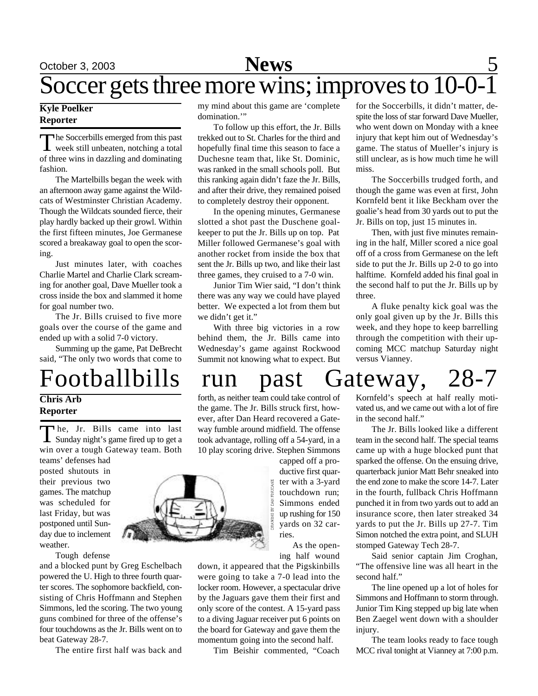### **Kyle Poelker Reporter**

The Soccerbills emerged from this past<br>week still unbeaten, notching a total he Soccerbills emerged from this past of three wins in dazzling and dominating fashion.

The Martelbills began the week with an afternoon away game against the Wildcats of Westminster Christian Academy. Though the Wildcats sounded fierce, their play hardly backed up their growl. Within the first fifteen minutes, Joe Germanese scored a breakaway goal to open the scoring.

Just minutes later, with coaches Charlie Martel and Charlie Clark screaming for another goal, Dave Mueller took a cross inside the box and slammed it home for goal number two.

The Jr. Bills cruised to five more goals over the course of the game and ended up with a solid 7-0 victory.

Summing up the game, Pat DeBrecht said, "The only two words that come to

### **Chris Arb Reporter**

The, Jr. Bills came into last<br>Sunday night's game fired up to get a he, Jr. Bills came into last win over a tough Gateway team. Both teams' defenses had

posted shutouts in their previous two games. The matchup was scheduled for last Friday, but was postponed until Sunday due to inclement weather.

Tough defense

and a blocked punt by Greg Eschelbach powered the U. High to three fourth quarter scores. The sophomore backfield, consisting of Chris Hoffmann and Stephen Simmons, led the scoring. The two young guns combined for three of the offense's four touchdowns as the Jr. Bills went on to beat Gateway 28-7.

The entire first half was back and

my mind about this game are 'complete domination."

To follow up this effort, the Jr. Bills trekked out to St. Charles for the third and hopefully final time this season to face a Duchesne team that, like St. Dominic, was ranked in the small schools poll. But this ranking again didn't faze the Jr. Bills, and after their drive, they remained poised to completely destroy their opponent.

In the opening minutes, Germanese slotted a shot past the Duschene goalkeeper to put the Jr. Bills up on top. Pat Miller followed Germanese's goal with another rocket from inside the box that sent the Jr. Bills up two, and like their last three games, they cruised to a 7-0 win.

Junior Tim Wier said, "I don't think there was any way we could have played better. We expected a lot from them but we didn't get it."

With three big victories in a row behind them, the Jr. Bills came into Wednesday's game against Rockwood Summit not knowing what to expect. But

for the Soccerbills, it didn't matter, despite the loss of star forward Dave Mueller, who went down on Monday with a knee injury that kept him out of Wednesday's game. The status of Mueller's injury is still unclear, as is how much time he will miss.

The Soccerbills trudged forth, and though the game was even at first, John Kornfeld bent it like Beckham over the goalie's head from 30 yards out to put the Jr. Bills on top, just 15 minutes in.

Then, with just five minutes remaining in the half, Miller scored a nice goal off of a cross from Germanese on the left side to put the Jr. Bills up 2-0 to go into halftime. Kornfeld added his final goal in the second half to put the Jr. Bills up by three.

A fluke penalty kick goal was the only goal given up by the Jr. Bills this week, and they hope to keep barrelling through the competition with their upcoming MCC matchup Saturday night versus Vianney.

# Footballbills run past Gateway, 28-7

forth, as neither team could take control of the game. The Jr. Bills struck first, however, after Dan Heard recovered a Gateway fumble around midfield. The offense took advantage, rolling off a 54-yard, in a 10 play scoring drive. Stephen Simmons

capped off a productive first quarter with a 3-yard touchdown run; Simmons ended up rushing for 150 yards on 32 carries.

As the opening half wound

down, it appeared that the Pigskinbills were going to take a 7-0 lead into the locker room. However, a spectacular drive by the Jaguars gave them their first and only score of the contest. A 15-yard pass to a diving Jaguar receiver put 6 points on the board for Gateway and gave them the momentum going into the second half.

Tim Beishir commented, "Coach

Kornfeld's speech at half really motivated us, and we came out with a lot of fire in the second half."

The Jr. Bills looked like a different team in the second half. The special teams came up with a huge blocked punt that sparked the offense. On the ensuing drive, quarterback junior Matt Behr sneaked into the end zone to make the score 14-7. Later in the fourth, fullback Chris Hoffmann punched it in from two yards out to add an insurance score, then later streaked 34 yards to put the Jr. Bills up 27-7. Tim Simon notched the extra point, and SLUH stomped Gateway Tech 28-7.

Said senior captain Jim Croghan, "The offensive line was all heart in the second half."

The line opened up a lot of holes for Simmons and Hoffmann to storm through. Junior Tim King stepped up big late when Ben Zaegel went down with a shoulder injury.

The team looks ready to face tough MCC rival tonight at Vianney at 7:00 p.m.

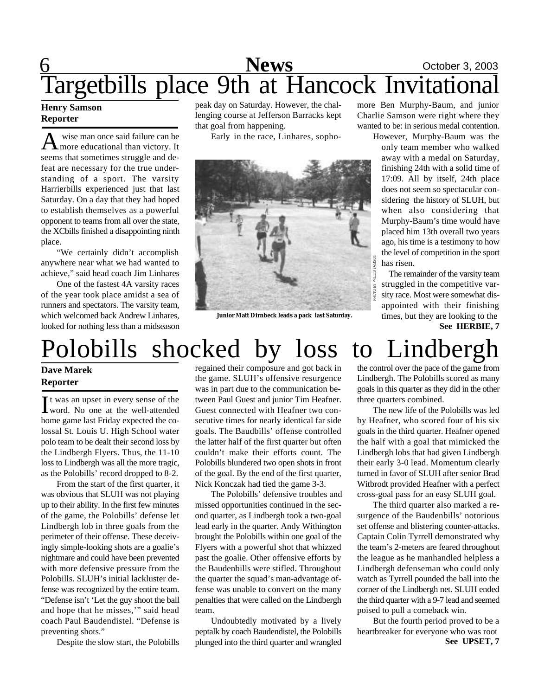## **6** October 3, 2003 Targetbills place 9th at Hancock Invitational

### **Henry Samson Reporter**

 $A$  wise man once said failure can be noted by the educational than victory. It wise man once said failure can be seems that sometimes struggle and defeat are necessary for the true understanding of a sport. The varsity Harrierbills experienced just that last Saturday. On a day that they had hoped to establish themselves as a powerful opponent to teams from all over the state, the XCbills finished a disappointing ninth place.

"We certainly didn't accomplish anywhere near what we had wanted to achieve," said head coach Jim Linhares

One of the fastest 4A varsity races of the year took place amidst a sea of runners and spectators. The varsity team, which welcomed back Andrew Linhares, looked for nothing less than a midseason peak day on Saturday. However, the challenging course at Jefferson Barracks kept that goal from happening.

Early in the race, Linhares, sopho-



**Junior Matt Dirnbeck leads a pack last Saturday.**

more Ben Murphy-Baum, and junior Charlie Samson were right where they wanted to be: in serious medal contention.

However, Murphy-Baum was the only team member who walked away with a medal on Saturday, finishing 24th with a solid time of 17:09. All by itself, 24th place does not seem so spectacular considering the history of SLUH, but when also considering that Murphy-Baum's time would have placed him 13th overall two years ago, his time is a testimony to how the level of competition in the sport has risen.

The remainder of the varsity team struggled in the competitive varsity race. Most were somewhat disappointed with their finishing times, but they are looking to the **See HERBIE, 7**

# Polobills shocked by loss to Lindbergh

### **Dave Marek Reporter**

It was an upset in every sense of the<br>word. No one at the well-attended t was an upset in every sense of the home game last Friday expected the colossal St. Louis U. High School water polo team to be dealt their second loss by the Lindbergh Flyers. Thus, the 11-10 loss to Lindbergh was all the more tragic, as the Polobills' record dropped to 8-2.

From the start of the first quarter, it was obvious that SLUH was not playing up to their ability. In the first few minutes of the game, the Polobills' defense let Lindbergh lob in three goals from the perimeter of their offense. These deceivingly simple-looking shots are a goalie's nightmare and could have been prevented with more defensive pressure from the Polobills. SLUH's initial lackluster defense was recognized by the entire team. "Defense isn't 'Let the guy shoot the ball and hope that he misses,'" said head coach Paul Baudendistel. "Defense is preventing shots."

Despite the slow start, the Polobills

regained their composure and got back in the game. SLUH's offensive resurgence was in part due to the communication between Paul Guest and junior Tim Heafner. Guest connected with Heafner two consecutive times for nearly identical far side goals. The Baudbills' offense controlled the latter half of the first quarter but often couldn't make their efforts count. The Polobills blundered two open shots in front of the goal. By the end of the first quarter, Nick Konczak had tied the game 3-3.

The Polobills' defensive troubles and missed opportunities continued in the second quarter, as Lindbergh took a two-goal lead early in the quarter. Andy Withington brought the Polobills within one goal of the Flyers with a powerful shot that whizzed past the goalie. Other offensive efforts by the Baudenbills were stifled. Throughout the quarter the squad's man-advantage offense was unable to convert on the many penalties that were called on the Lindbergh team.

Undoubtedly motivated by a lively peptalk by coach Baudendistel, the Polobills plunged into the third quarter and wrangled the control over the pace of the game from Lindbergh. The Polobills scored as many goals in this quarter as they did in the other three quarters combined.

The new life of the Polobills was led by Heafner, who scored four of his six goals in the third quarter. Heafner opened the half with a goal that mimicked the Lindbergh lobs that had given Lindbergh their early 3-0 lead. Momentum clearly turned in favor of SLUH after senior Brad Witbrodt provided Heafner with a perfect cross-goal pass for an easy SLUH goal.

The third quarter also marked a resurgence of the Baudenbills' notorious set offense and blistering counter-attacks. Captain Colin Tyrrell demonstrated why the team's 2-meters are feared throughout the league as he manhandled helpless a Lindbergh defenseman who could only watch as Tyrrell pounded the ball into the corner of the Lindbergh net. SLUH ended the third quarter with a 9-7 lead and seemed poised to pull a comeback win.

But the fourth period proved to be a heartbreaker for everyone who was root **See UPSET, 7**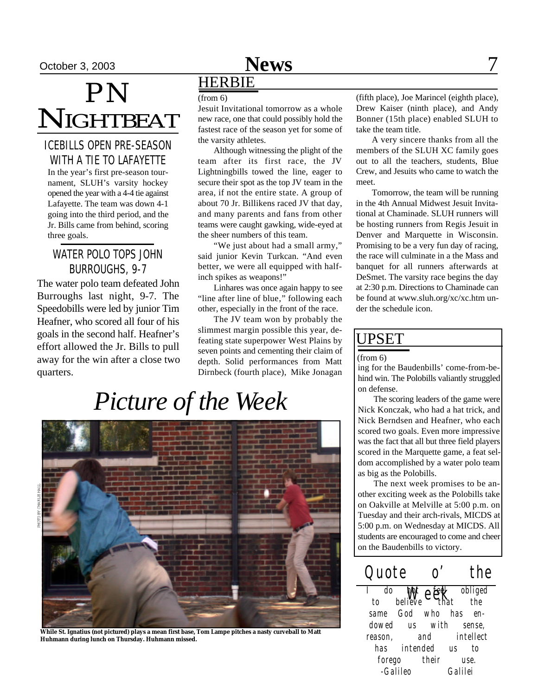# *PN* **NIGHTBEAT**

## ICEBILLS OPEN PRE-SEASON WITH A TIE TO LAFAYETTE

In the year's first pre-season tournament, SLUH's varsity hockey opened the year with a 4-4 tie against Lafayette. The team was down 4-1 going into the third period, and the Jr. Bills came from behind, scoring three goals.

## WATER POLO TOPS JOHN BURROUGHS, 9-7

The water polo team defeated John Burroughs last night, 9-7. The Speedobills were led by junior Tim Heafner, who scored all four of his goals in the second half. Heafner's effort allowed the Jr. Bills to pull away for the win after a close two quarters.

## October 3, 2003 **News** 7

## HERBIE

### (from 6)

Jesuit Invitational tomorrow as a whole new race, one that could possibly hold the fastest race of the season yet for some of the varsity athletes.

Although witnessing the plight of the team after its first race, the JV Lightningbills towed the line, eager to secure their spot as the top JV team in the area, if not the entire state. A group of about 70 Jr. Billikens raced JV that day, and many parents and fans from other teams were caught gawking, wide-eyed at the sheer numbers of this team.

"We just about had a small army," said junior Kevin Turkcan. "And even better, we were all equipped with halfinch spikes as weapons!"

Linhares was once again happy to see "line after line of blue," following each other, especially in the front of the race.

The JV team won by probably the slimmest margin possible this year, defeating state superpower West Plains by seven points and cementing their claim of depth. Solid performances from Matt Dirnbeck (fourth place), Mike Jonagan

# *Picture of the Week*



**While St. Ignatius (not pictured) plays a mean first base, Tom Lampe pitches a nasty curveball to Matt Huhmann during lunch on Thursday. Huhmann missed.**

(fifth place), Joe Marincel (eighth place), Drew Kaiser (ninth place), and Andy Bonner (15th place) enabled SLUH to take the team title.

A very sincere thanks from all the members of the SLUH XC family goes out to all the teachers, students, Blue Crew, and Jesuits who came to watch the meet.

Tomorrow, the team will be running in the 4th Annual Midwest Jesuit Invitational at Chaminade. SLUH runners will be hosting runners from Regis Jesuit in Denver and Marquette in Wisconsin. Promising to be a very fun day of racing, the race will culminate in a the Mass and banquet for all runners afterwards at DeSmet. The varsity race begins the day at 2:30 p.m. Directions to Chaminade can be found at www.sluh.org/xc/xc.htm under the schedule icon.

## UPSET

#### (from 6)

ing for the Baudenbills' come-from-behind win. The Polobills valiantly struggled on defense.

The scoring leaders of the game were Nick Konczak, who had a hat trick, and Nick Berndsen and Heafner, who each scored two goals. Even more impressive was the fact that all but three field players scored in the Marquette game, a feat seldom accomplished by a water polo team as big as the Polobills.

The next week promises to be another exciting week as the Polobills take on Oakville at Melville at 5:00 p.m. on Tuesday and their arch-rivals, MICDS at 5:00 p.m. on Wednesday at MICDS. All students are encouraged to come and cheer on the Baudenbills to victory.

*Quote o' the* n**on/** e<sup>fee</sup>k *I do not feel obliged to believe that the same God who has endowed us with sense, reason, and intellect has intended us to forego their use. -Galileo Galilei*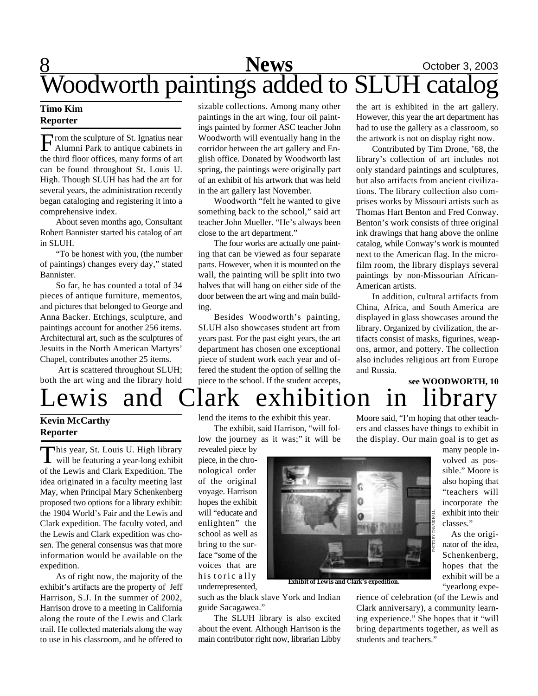## 8 **News** October 3, 2003 Woodworth paintings added to SLUH catalog

### **Timo Kim Reporter**

From the sculpture of St. Ignatius near<br>Alumni Park to antique cabinets in<br>the third floor offices, many forms of art rom the sculpture of St. Ignatius near Alumni Park to antique cabinets in can be found throughout St. Louis U. High. Though SLUH has had the art for several years, the administration recently began cataloging and registering it into a comprehensive index.

About seven months ago, Consultant Robert Bannister started his catalog of art in SLUH.

"To be honest with you, (the number of paintings) changes every day," stated Bannister.

So far, he has counted a total of 34 pieces of antique furniture, mementos, and pictures that belonged to George and Anna Backer. Etchings, sculpture, and paintings account for another 256 items. Architectural art, such as the sculptures of Jesuits in the North American Martyrs' Chapel, contributes another 25 items.

 Art is scattered throughout SLUH; both the art wing and the library hold sizable collections. Among many other paintings in the art wing, four oil paintings painted by former ASC teacher John Woodworth will eventually hang in the corridor between the art gallery and English office. Donated by Woodworth last spring, the paintings were originally part of an exhibit of his artwork that was held in the art gallery last November.

Woodworth "felt he wanted to give something back to the school," said art teacher John Mueller. "He's always been close to the art department."

The four works are actually one painting that can be viewed as four separate parts. However, when it is mounted on the wall, the painting will be split into two halves that will hang on either side of the door between the art wing and main building.

Besides Woodworth's painting, SLUH also showcases student art from years past. For the past eight years, the art department has chosen one exceptional piece of student work each year and offered the student the option of selling the piece to the school. If the student accepts,

the art is exhibited in the art gallery. However, this year the art department has had to use the gallery as a classroom, so the artwork is not on display right now.

Contributed by Tim Drone, '68, the library's collection of art includes not only standard paintings and sculptures, but also artifacts from ancient civilizations. The library collection also comprises works by Missouri artists such as Thomas Hart Benton and Fred Conway. Benton's work consists of three original ink drawings that hang above the online catalog, while Conway's work is mounted next to the American flag. In the microfilm room, the library displays several paintings by non-Missourian African-American artists.

In addition, cultural artifacts from China, Africa, and South America are displayed in glass showcases around the library. Organized by civilization, the artifacts consist of masks, figurines, weapons, armor, and pottery. The collection also includes religious art from Europe and Russia.

## Lewis and Clark exhibition in library **see WOODWORTH, 10**

## **Kevin McCarthy Reporter**

This year, St. Louis U. High library<br>will be featuring a year-long exhibit This year, St. Louis U. High library of the Lewis and Clark Expedition. The idea originated in a faculty meeting last May, when Principal Mary Schenkenberg proposed two options for a library exhibit: the 1904 World's Fair and the Lewis and Clark expedition. The faculty voted, and the Lewis and Clark expedition was chosen. The general consensus was that more information would be available on the expedition.

As of right now, the majority of the exhibit's artifacts are the property of Jeff Harrison, S.J. In the summer of 2002, Harrison drove to a meeting in California along the route of the Lewis and Clark trail. He collected materials along the way to use in his classroom, and he offered to

lend the items to the exhibit this year.

The exhibit, said Harrison, "will follow the journey as it was;" it will be

revealed piece by piece, in the chronological order of the original voyage. Harrison hopes the exhibit will "educate and enlighten" the school as well as bring to the surface "some of the voices that are his toric a lly underrepresented,

such as the black slave York and Indian guide Sacagawea."

The SLUH library is also excited about the event. Although Harrison is the main contributor right now, librarian Libby Moore said, "I'm hoping that other teachers and classes have things to exhibit in the display. Our main goal is to get as



**Exhibit of Lewis and Clark's expedition.**

many people involved as possible." Moore is also hoping that "teachers will incorporate the exhibit into their classes."

As the originator of the idea, Schenkenberg, hopes that the exhibit will be a "yearlong expe-

rience of celebration (of the Lewis and Clark anniversary), a community learning experience." She hopes that it "will bring departments together, as well as students and teachers."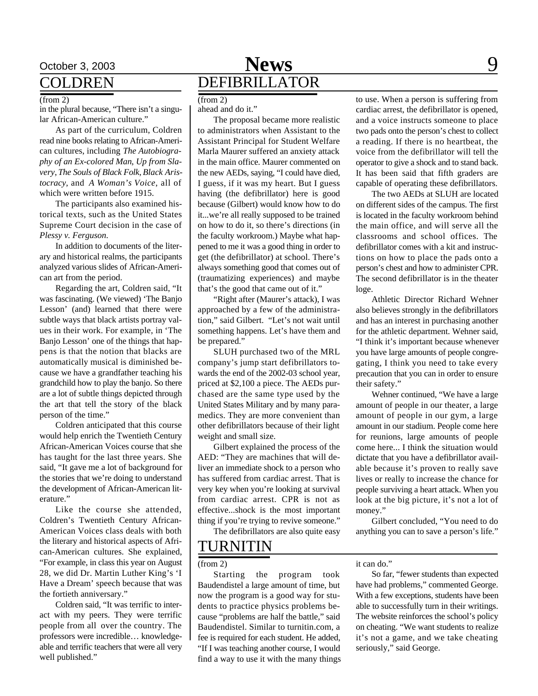## COLDREN

#### (from 2)

in the plural because, "There isn't a singular African-American culture."

As part of the curriculum, Coldren read nine books relating to African-American cultures, including *The Autobiography of an Ex-colored Man*, *Up from Slavery*, *The Souls of Black Folk*, *Black Aristocracy*, and *A Woman's Voice*, all of which were written before 1915.

The participants also examined historical texts, such as the United States Supreme Court decision in the case of *Plessy v. Ferguson*.

In addition to documents of the literary and historical realms, the participants analyzed various slides of African-American art from the period.

Regarding the art, Coldren said, "It was fascinating. (We viewed) 'The Banjo Lesson' (and) learned that there were subtle ways that black artists portray values in their work. For example, in 'The Banjo Lesson' one of the things that happens is that the notion that blacks are automatically musical is diminished because we have a grandfather teaching his grandchild how to play the banjo. So there are a lot of subtle things depicted through the art that tell the story of the black person of the time."

Coldren anticipated that this course would help enrich the Twentieth Century African-American Voices course that she has taught for the last three years. She said, "It gave me a lot of background for the stories that we're doing to understand the development of African-American literature."

Like the course she attended, Coldren's Twentieth Century African-American Voices class deals with both the literary and historical aspects of African-American cultures. She explained, "For example, in class this year on August 28, we did Dr. Martin Luther King's 'I Have a Dream' speech because that was the fortieth anniversary."

Coldren said, "It was terrific to interact with my peers. They were terrific people from all over the country. The professors were incredible… knowledgeable and terrific teachers that were all very well published."

## October 3, 2003 **News** 9 DEFIBRILLATOR

ahead and do it." (from 2)

The proposal became more realistic to administrators when Assistant to the Assistant Principal for Student Welfare Marla Maurer suffered an anxiety attack in the main office. Maurer commented on the new AEDs, saying, "I could have died, I guess, if it was my heart. But I guess having (the defibrillator) here is good because (Gilbert) would know how to do it...we're all really supposed to be trained on how to do it, so there's directions (in the faculty workroom.) Maybe what happened to me it was a good thing in order to get (the defibrillator) at school. There's always something good that comes out of (traumatizing experiences) and maybe that's the good that came out of it."

"Right after (Maurer's attack), I was approached by a few of the administration," said Gilbert. "Let's not wait until something happens. Let's have them and be prepared."

SLUH purchased two of the MRL company's jump start defibrillators towards the end of the 2002-03 school year, priced at \$2,100 a piece. The AEDs purchased are the same type used by the United States Military and by many paramedics. They are more convenient than other defibrillators because of their light weight and small size.

Gilbert explained the process of the AED: "They are machines that will deliver an immediate shock to a person who has suffered from cardiac arrest. That is very key when you're looking at survival from cardiac arrest. CPR is not as effective...shock is the most important thing if you're trying to revive someone."

The defibrillators are also quite easy

## TURNITIN

(from 2)

Starting the program took Baudendistel a large amount of time, but now the program is a good way for students to practice physics problems because "problems are half the battle," said Baudendistel. Similar to turnitin.com, a fee is required for each student. He added, "If I was teaching another course, I would find a way to use it with the many things

to use. When a person is suffering from cardiac arrest, the defibrillator is opened, and a voice instructs someone to place two pads onto the person's chest to collect a reading. If there is no heartbeat, the voice from the defibrillator will tell the operator to give a shock and to stand back. It has been said that fifth graders are capable of operating these defibrillators.

The two AEDs at SLUH are located on different sides of the campus. The first is located in the faculty workroom behind the main office, and will serve all the classrooms and school offices. The defibrillator comes with a kit and instructions on how to place the pads onto a person's chest and how to administer CPR. The second defibrillator is in the theater loge.

Athletic Director Richard Wehner also believes strongly in the defibrillators and has an interest in purchasing another for the athletic department. Wehner said, "I think it's important because whenever you have large amounts of people congregating, I think you need to take every precaution that you can in order to ensure their safety."

Wehner continued, "We have a large amount of people in our theater, a large amount of people in our gym, a large amount in our stadium. People come here for reunions, large amounts of people come here... I think the situation would dictate that you have a defibrillator available because it's proven to really save lives or really to increase the chance for people surviving a heart attack. When you look at the big picture, it's not a lot of money."

Gilbert concluded, "You need to do anything you can to save a person's life."

it can do."

So far, "fewer students than expected have had problems," commented George. With a few exceptions, students have been able to successfully turn in their writings. The website reinforces the school's policy on cheating. "We want students to realize it's not a game, and we take cheating seriously," said George.